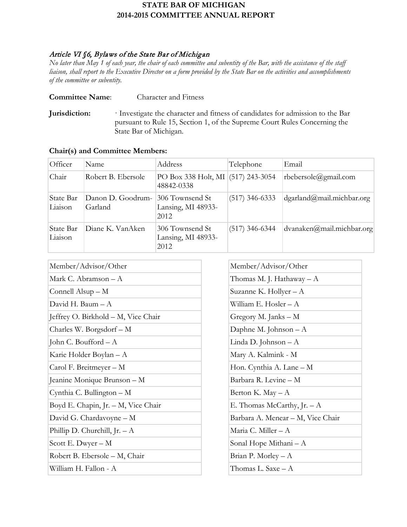# **STATE BAR OF MICHIGAN 2014-2015 COMMITTEE ANNUAL REPORT**

## Article VI §6, Bylaws of the State Bar of Michigan

*No later than May 1 of each year, the chair of each committee and subentity of the Bar, with the assistance of the staff liaison, shall report to the Executive Director on a form provided by the State Bar on the activities and accomplishments of the committee or subentity.*

**Committee Name**: Character and Fitness

**Jurisdiction:** · Investigate the character and fitness of candidates for admission to the Bar pursuant to Rule 15, Section 1, of the Supreme Court Rules Concerning the State Bar of Michigan.

| Officer              | Name                         | Address                                          | Telephone        | Email                        |
|----------------------|------------------------------|--------------------------------------------------|------------------|------------------------------|
| Chair                | Robert B. Ebersole           | PO Box 338 Holt, MI (517) 243-3054<br>48842-0338 |                  | rbebersole@gmail.com         |
| State Bar<br>Liaison | Danon D. Goodrum-<br>Garland | 306 Townsend St<br>Lansing, MI 48933-<br>2012    | $(517)$ 346-6333 | $d$ garland@mail.michbar.org |
| State Bar<br>Liaison | Diane K. VanAken             | 306 Townsend St<br>Lansing, MI 48933-<br>2012    | $(517)$ 346-6344 | dvanaken@mail.michbar.org    |

| Member/Advisor/Other                |
|-------------------------------------|
| Mark C. Abramson – A                |
| Connell $\text{Also} - \text{M}$    |
| David H. Baum – A                   |
| Jeffrey O. Birkhold – M, Vice Chair |
| Charles W. Borgsdorf – M            |
| John C. Boufford $-A$               |
| Karie Holder Boylan - A             |
| Carol F. Breitmeyer - M             |
| Jeanine Monique Brunson - M         |
| Cynthia C. Bullington – M           |
| Boyd E. Chapin, Jr. - M, Vice Chair |
| David G. Chardavoyne - M            |
| Phillip D. Churchill, Jr. $-A$      |
| Scott E. Dwyer $-M$                 |
| Robert B. Ebersole - M, Chair       |
| William H. Fallon - A               |
|                                     |

| Member/Advisor/Other              |  |
|-----------------------------------|--|
| Thomas M. J. Hathaway – A         |  |
| Suzanne K. Hollyer – A            |  |
| William E. Hosler – A             |  |
| Gregory M. Janks - M              |  |
| Daphne M. Johnson $-A$            |  |
| Linda D. Johnson – A              |  |
| Mary A. Kalmink - M               |  |
| Hon. Cynthia A. Lane - M          |  |
| Barbara R. Levine - M             |  |
| Berton K. May – A                 |  |
| E. Thomas McCarthy, Jr. $- A$     |  |
| Barbara A. Menear - M, Vice Chair |  |
| Maria C. Miller - A               |  |
| Sonal Hope Mithani - A            |  |
| Brian P. Morley – A               |  |
| Thomas L. Saxe – A                |  |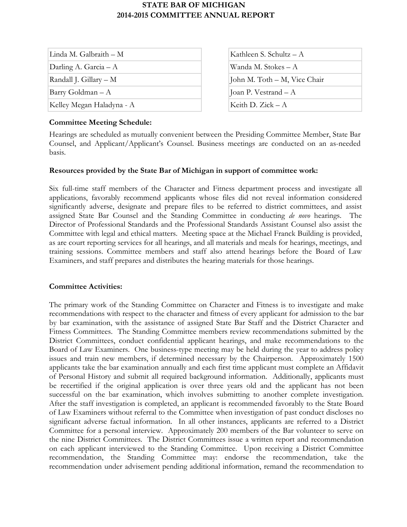# **STATE BAR OF MICHIGAN 2014-2015 COMMITTEE ANNUAL REPORT**

| Linda M. Galbraith – M    |
|---------------------------|
| Darling A. Garcia $- A$   |
| Randall J. Gillary – M    |
| Barry Goldman – A         |
| Kelley Megan Haladyna - A |

| Kathleen S. Schultz $- A$    |
|------------------------------|
| Wanda M. Stokes – A          |
| John M. Toth – M, Vice Chair |
| Joan P. Vestrand – A         |
| Keith D. $Zick - A$          |

### **Committee Meeting Schedule:**

Hearings are scheduled as mutually convenient between the Presiding Committee Member, State Bar Counsel, and Applicant/Applicant's Counsel. Business meetings are conducted on an as-needed basis.

### **Resources provided by the State Bar of Michigan in support of committee work:**

Six full-time staff members of the Character and Fitness department process and investigate all applications, favorably recommend applicants whose files did not reveal information considered significantly adverse, designate and prepare files to be referred to district committees, and assist assigned State Bar Counsel and the Standing Committee in conducting *de novo* hearings. The Director of Professional Standards and the Professional Standards Assistant Counsel also assist the Committee with legal and ethical matters. Meeting space at the Michael Franck Building is provided, as are court reporting services for all hearings, and all materials and meals for hearings, meetings, and training sessions. Committee members and staff also attend hearings before the Board of Law Examiners, and staff prepares and distributes the hearing materials for those hearings.

### **Committee Activities:**

The primary work of the Standing Committee on Character and Fitness is to investigate and make recommendations with respect to the character and fitness of every applicant for admission to the bar by bar examination, with the assistance of assigned State Bar Staff and the District Character and Fitness Committees. The Standing Committee members review recommendations submitted by the District Committees, conduct confidential applicant hearings, and make recommendations to the Board of Law Examiners. One business-type meeting may be held during the year to address policy issues and train new members, if determined necessary by the Chairperson. Approximately 1500 applicants take the bar examination annually and each first time applicant must complete an Affidavit of Personal History and submit all required background information. Additionally, applicants must be recertified if the original application is over three years old and the applicant has not been successful on the bar examination, which involves submitting to another complete investigation. After the staff investigation is completed, an applicant is recommended favorably to the State Board of Law Examiners without referral to the Committee when investigation of past conduct discloses no significant adverse factual information. In all other instances, applicants are referred to a District Committee for a personal interview. Approximately 200 members of the Bar volunteer to serve on the nine District Committees. The District Committees issue a written report and recommendation on each applicant interviewed to the Standing Committee. Upon receiving a District Committee recommendation, the Standing Committee may: endorse the recommendation, take the recommendation under advisement pending additional information, remand the recommendation to